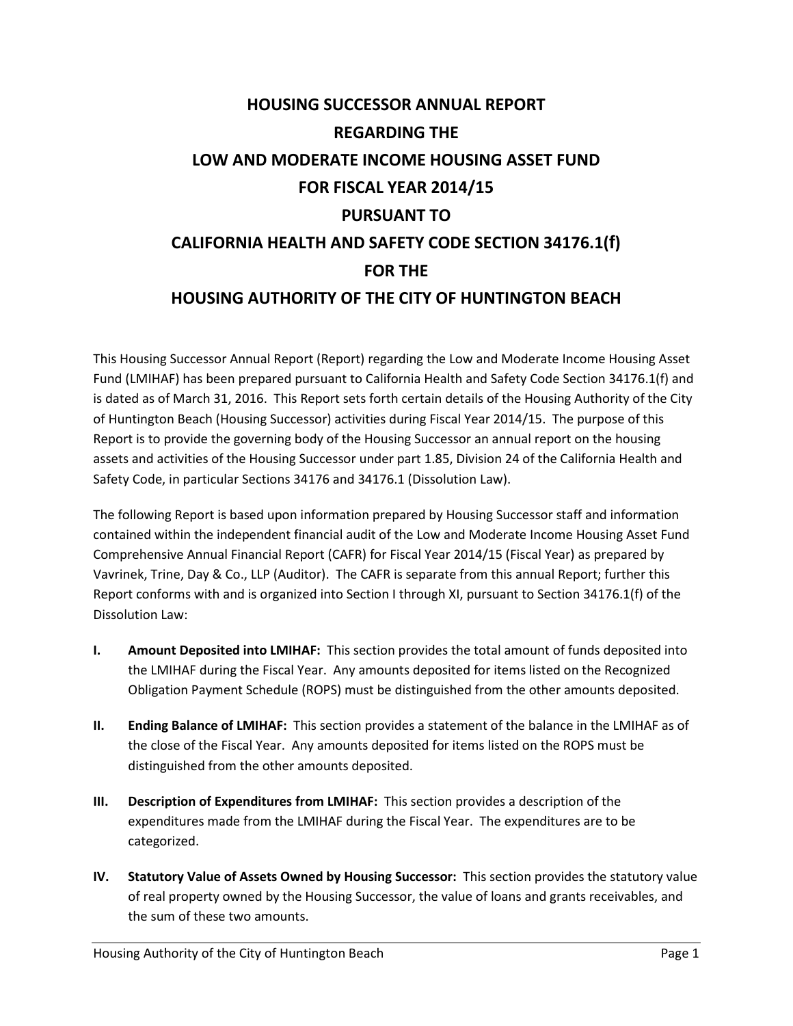# **HOUSING SUCCESSOR ANNUAL REPORT REGARDING THE LOW AND MODERATE INCOME HOUSING ASSET FUND FOR FISCAL YEAR 2014/15 PURSUANT TO CALIFORNIA HEALTH AND SAFETY CODE SECTION 34176.1(f) FOR THE HOUSING AUTHORITY OF THE CITY OF HUNTINGTON BEACH**

This Housing Successor Annual Report (Report) regarding the Low and Moderate Income Housing Asset Fund (LMIHAF) has been prepared pursuant to California Health and Safety Code Section 34176.1(f) and is dated as of March 31, 2016. This Report sets forth certain details of the Housing Authority of the City of Huntington Beach (Housing Successor) activities during Fiscal Year 2014/15. The purpose of this Report is to provide the governing body of the Housing Successor an annual report on the housing assets and activities of the Housing Successor under part 1.85, Division 24 of the California Health and Safety Code, in particular Sections 34176 and 34176.1 (Dissolution Law).

The following Report is based upon information prepared by Housing Successor staff and information contained within the independent financial audit of the Low and Moderate Income Housing Asset Fund Comprehensive Annual Financial Report (CAFR) for Fiscal Year 2014/15 (Fiscal Year) as prepared by Vavrinek, Trine, Day & Co., LLP (Auditor). The CAFR is separate from this annual Report; further this Report conforms with and is organized into Section I through XI, pursuant to Section 34176.1(f) of the Dissolution Law:

- **I. Amount Deposited into LMIHAF:** This section provides the total amount of funds deposited into the LMIHAF during the Fiscal Year. Any amounts deposited for items listed on the Recognized Obligation Payment Schedule (ROPS) must be distinguished from the other amounts deposited.
- **II. Ending Balance of LMIHAF:** This section provides a statement of the balance in the LMIHAF as of the close of the Fiscal Year. Any amounts deposited for items listed on the ROPS must be distinguished from the other amounts deposited.
- **III. Description of Expenditures from LMIHAF:** This section provides a description of the expenditures made from the LMIHAF during the Fiscal Year. The expenditures are to be categorized.
- **IV. Statutory Value of Assets Owned by Housing Successor:** This section provides the statutory value of real property owned by the Housing Successor, the value of loans and grants receivables, and the sum of these two amounts.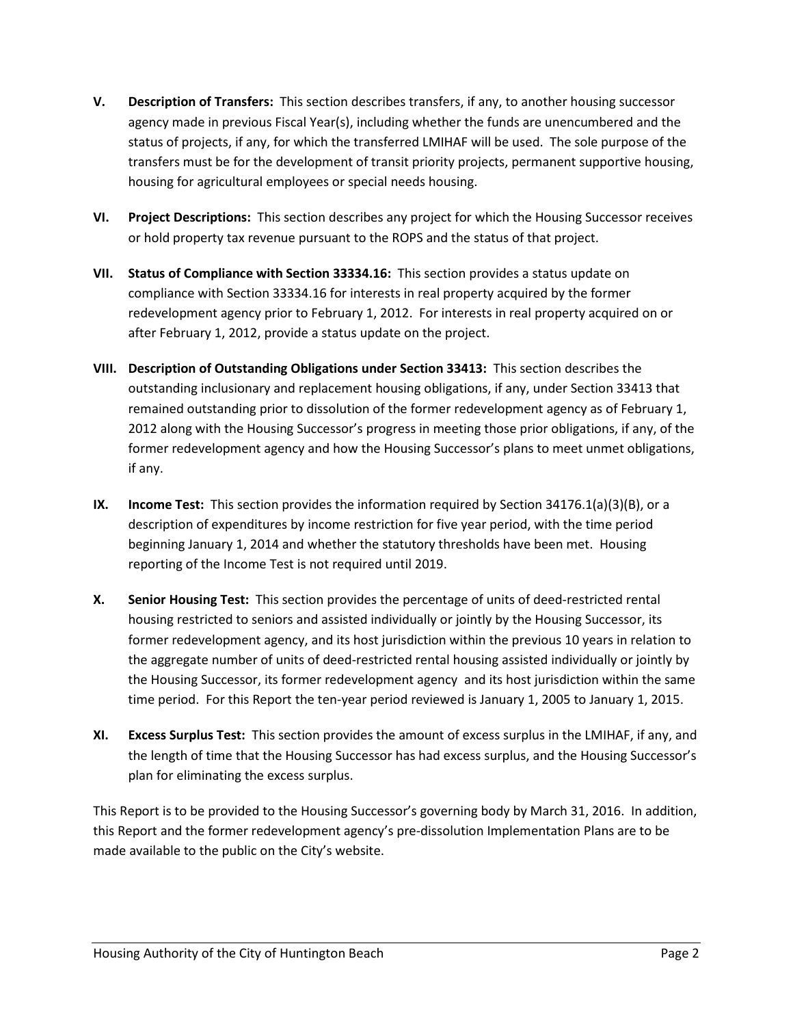- **V. Description of Transfers:** This section describes transfers, if any, to another housing successor agency made in previous Fiscal Year(s), including whether the funds are unencumbered and the status of projects, if any, for which the transferred LMIHAF will be used. The sole purpose of the transfers must be for the development of transit priority projects, permanent supportive housing, housing for agricultural employees or special needs housing.
- **VI. Project Descriptions:** This section describes any project for which the Housing Successor receives or hold property tax revenue pursuant to the ROPS and the status of that project.
- **VII. Status of Compliance with Section 33334.16:** This section provides a status update on compliance with Section 33334.16 for interests in real property acquired by the former redevelopment agency prior to February 1, 2012. For interests in real property acquired on or after February 1, 2012, provide a status update on the project.
- **VIII. Description of Outstanding Obligations under Section 33413:** This section describes the outstanding inclusionary and replacement housing obligations, if any, under Section 33413 that remained outstanding prior to dissolution of the former redevelopment agency as of February 1, 2012 along with the Housing Successor's progress in meeting those prior obligations, if any, of the former redevelopment agency and how the Housing Successor's plans to meet unmet obligations, if any.
- **IX. Income Test:** This section provides the information required by Section 34176.1(a)(3)(B), or a description of expenditures by income restriction for five year period, with the time period beginning January 1, 2014 and whether the statutory thresholds have been met. Housing reporting of the Income Test is not required until 2019.
- **X. Senior Housing Test:** This section provides the percentage of units of deed-restricted rental housing restricted to seniors and assisted individually or jointly by the Housing Successor, its former redevelopment agency, and its host jurisdiction within the previous 10 years in relation to the aggregate number of units of deed-restricted rental housing assisted individually or jointly by the Housing Successor, its former redevelopment agency and its host jurisdiction within the same time period. For this Report the ten-year period reviewed is January 1, 2005 to January 1, 2015.
- **XI. Excess Surplus Test:** This section provides the amount of excess surplus in the LMIHAF, if any, and the length of time that the Housing Successor has had excess surplus, and the Housing Successor's plan for eliminating the excess surplus.

This Report is to be provided to the Housing Successor's governing body by March 31, 2016. In addition, this Report and the former redevelopment agency's pre-dissolution Implementation Plans are to be made available to the public on the City's website.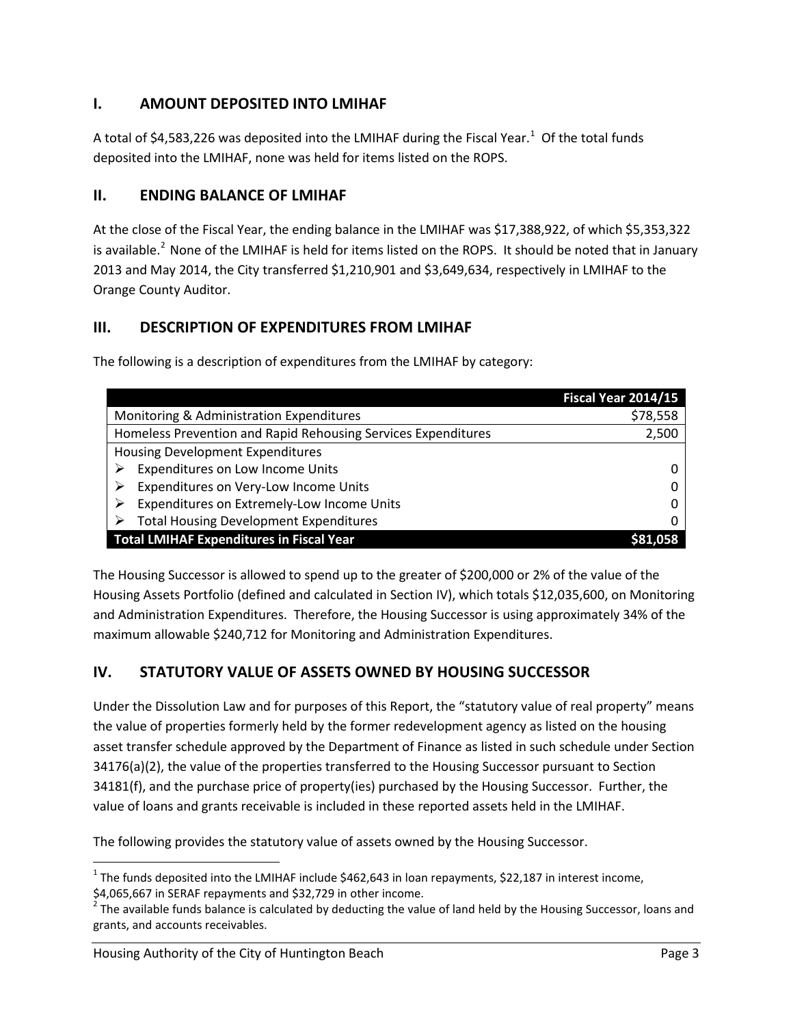# **I. AMOUNT DEPOSITED INTO LMIHAF**

A total of \$4,583,226 was deposited into the LMIHAF during the Fiscal Year.<sup>[1](#page-2-0)</sup> Of the total funds deposited into the LMIHAF, none was held for items listed on the ROPS.

## **II. ENDING BALANCE OF LMIHAF**

At the close of the Fiscal Year, the ending balance in the LMIHAF was \$17,388,922, of which \$5,353,322 is available. $^2$  $^2$  None of the LMIHAF is held for items listed on the ROPS. It should be noted that in January 2013 and May 2014, the City transferred \$1,210,901 and \$3,649,634, respectively in LMIHAF to the Orange County Auditor.

# **III. DESCRIPTION OF EXPENDITURES FROM LMIHAF**

The following is a description of expenditures from the LMIHAF by category:

|                                                               | Fiscal Year 2014/15 |
|---------------------------------------------------------------|---------------------|
| Monitoring & Administration Expenditures                      | \$78,558            |
| Homeless Prevention and Rapid Rehousing Services Expenditures | 2,500               |
| Housing Development Expenditures                              |                     |
| Expenditures on Low Income Units                              |                     |
| Expenditures on Very-Low Income Units                         |                     |
| Expenditures on Extremely-Low Income Units                    |                     |
| <b>Total Housing Development Expenditures</b>                 |                     |
| <b>Total LMIHAF Expenditures in Fiscal Year</b>               |                     |

The Housing Successor is allowed to spend up to the greater of \$200,000 or 2% of the value of the Housing Assets Portfolio (defined and calculated in Section IV), which totals \$12,035,600, on Monitoring and Administration Expenditures. Therefore, the Housing Successor is using approximately 34% of the maximum allowable \$240,712 for Monitoring and Administration Expenditures.

# **IV. STATUTORY VALUE OF ASSETS OWNED BY HOUSING SUCCESSOR**

Under the Dissolution Law and for purposes of this Report, the "statutory value of real property" means the value of properties formerly held by the former redevelopment agency as listed on the housing asset transfer schedule approved by the Department of Finance as listed in such schedule under Section 34176(a)(2), the value of the properties transferred to the Housing Successor pursuant to Section 34181(f), and the purchase price of property(ies) purchased by the Housing Successor. Further, the value of loans and grants receivable is included in these reported assets held in the LMIHAF.

The following provides the statutory value of assets owned by the Housing Successor.

<span id="page-2-0"></span><sup>&</sup>lt;sup>1</sup> The funds deposited into the LMIHAF include \$462,643 in loan repayments, \$22,187 in interest income, \$4,065,667 in SERAF repayments and \$32,729 in other income.

<span id="page-2-1"></span> $^2$  The available funds balance is calculated by deducting the value of land held by the Housing Successor, loans and grants, and accounts receivables.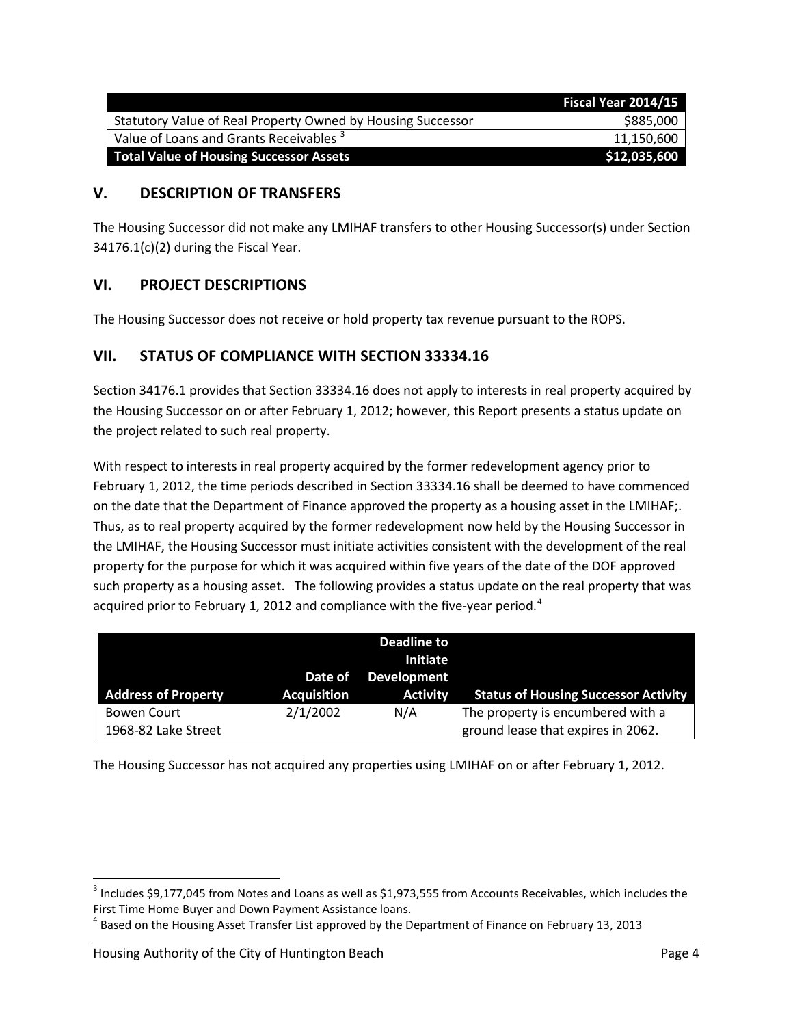|                                                             | Fiscal Year 2014/15 |
|-------------------------------------------------------------|---------------------|
| Statutory Value of Real Property Owned by Housing Successor | \$885,000           |
| Value of Loans and Grants Receivables <sup>3</sup>          | 11,150,600          |
| <b>Total Value of Housing Successor Assets</b>              | \$12,035,600        |

## **V. DESCRIPTION OF TRANSFERS**

The Housing Successor did not make any LMIHAF transfers to other Housing Successor(s) under Section 34176.1(c)(2) during the Fiscal Year.

## **VI. PROJECT DESCRIPTIONS**

The Housing Successor does not receive or hold property tax revenue pursuant to the ROPS.

## **VII. STATUS OF COMPLIANCE WITH SECTION 33334.16**

Section 34176.1 provides that Section 33334.16 does not apply to interests in real property acquired by the Housing Successor on or after February 1, 2012; however, this Report presents a status update on the project related to such real property.

With respect to interests in real property acquired by the former redevelopment agency prior to February 1, 2012, the time periods described in Section 33334.16 shall be deemed to have commenced on the date that the Department of Finance approved the property as a housing asset in the LMIHAF;. Thus, as to real property acquired by the former redevelopment now held by the Housing Successor in the LMIHAF, the Housing Successor must initiate activities consistent with the development of the real property for the purpose for which it was acquired within five years of the date of the DOF approved such property as a housing asset. The following provides a status update on the real property that was acquired prior to February 1, 2012 and compliance with the five-year period.<sup>[4](#page-3-1)</sup>

| <b>Address of Property</b> | Date of<br><b>Acquisition</b> | Deadline to<br><b>Initiate</b><br><b>Development</b><br><b>Activity</b> | <b>Status of Housing Successor Activity</b> |
|----------------------------|-------------------------------|-------------------------------------------------------------------------|---------------------------------------------|
| Bowen Court                | 2/1/2002                      | N/A                                                                     | The property is encumbered with a           |
| 1968-82 Lake Street        |                               |                                                                         | ground lease that expires in 2062.          |

The Housing Successor has not acquired any properties using LMIHAF on or after February 1, 2012.

<span id="page-3-0"></span><sup>&</sup>lt;sup>3</sup> Includes \$9,177,045 from Notes and Loans as well as \$1,973,555 from Accounts Receivables, which includes the First Time Home Buyer and Down Payment Assistance loans.

<span id="page-3-1"></span><sup>4</sup> Based on the Housing Asset Transfer List approved by the Department of Finance on February 13, 2013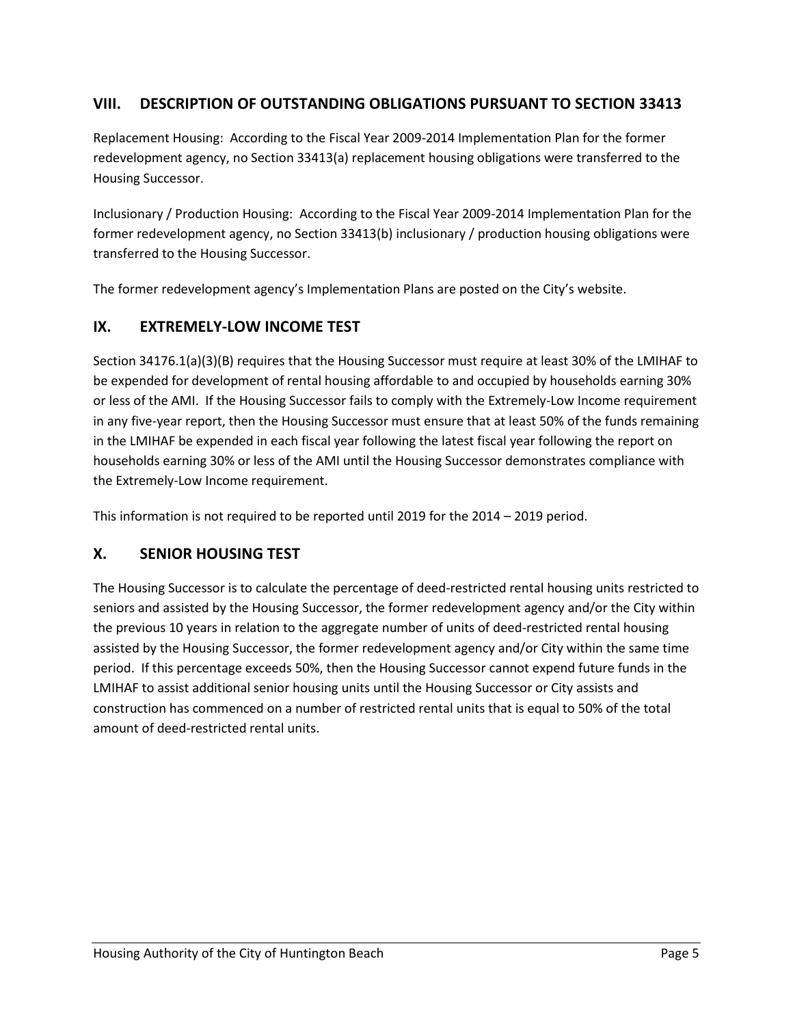## **VIII. DESCRIPTION OF OUTSTANDING OBLIGATIONS PURSUANT TO SECTION 33413**

Replacement Housing: According to the Fiscal Year 2009-2014 Implementation Plan for the former redevelopment agency, no Section 33413(a) replacement housing obligations were transferred to the Housing Successor.

Inclusionary / Production Housing: According to the Fiscal Year 2009-2014 Implementation Plan for the former redevelopment agency, no Section 33413(b) inclusionary / production housing obligations were transferred to the Housing Successor.

The former redevelopment agency's Implementation Plans are posted on the City's website.

#### **IX. EXTREMELY-LOW INCOME TEST**

Section 34176.1(a)(3)(B) requires that the Housing Successor must require at least 30% of the LMIHAF to be expended for development of rental housing affordable to and occupied by households earning 30% or less of the AMI. If the Housing Successor fails to comply with the Extremely-Low Income requirement in any five-year report, then the Housing Successor must ensure that at least 50% of the funds remaining in the LMIHAF be expended in each fiscal year following the latest fiscal year following the report on households earning 30% or less of the AMI until the Housing Successor demonstrates compliance with the Extremely-Low Income requirement.

This information is not required to be reported until 2019 for the 2014 – 2019 period.

## **X. SENIOR HOUSING TEST**

The Housing Successor is to calculate the percentage of deed-restricted rental housing units restricted to seniors and assisted by the Housing Successor, the former redevelopment agency and/or the City within the previous 10 years in relation to the aggregate number of units of deed-restricted rental housing assisted by the Housing Successor, the former redevelopment agency and/or City within the same time period. If this percentage exceeds 50%, then the Housing Successor cannot expend future funds in the LMIHAF to assist additional senior housing units until the Housing Successor or City assists and construction has commenced on a number of restricted rental units that is equal to 50% of the total amount of deed-restricted rental units.